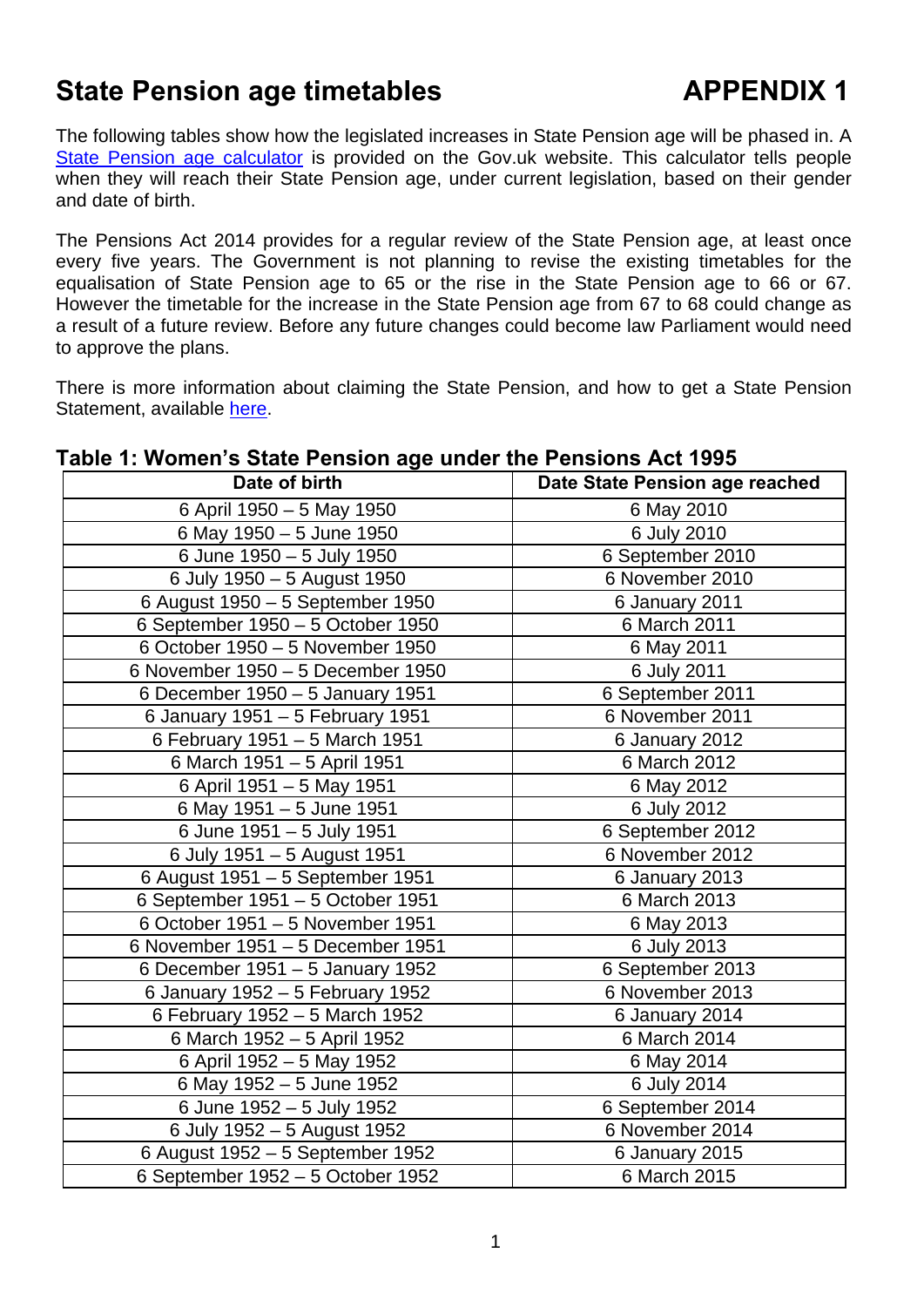# **State Pension age timetables APPENDIX 1**

The following tables show how the legislated increases in State Pension age will be phased in. A [State Pension age calculator](https://www.gov.uk/calculate-state-pension) is provided on the Gov.uk website. This calculator tells people when they will reach their State Pension age, under current legislation, based on their gender and date of birth.

The Pensions Act 2014 provides for a regular review of the State Pension age, at least once every five years. The Government is not planning to revise the existing timetables for the equalisation of State Pension age to 65 or the rise in the State Pension age to 66 or 67. However the timetable for the increase in the State Pension age from 67 to 68 could change as a result of a future review. Before any future changes could become law Parliament would need to approve the plans.

There is more information about claiming the State Pension, and how to get a State Pension Statement, available [here](https://www.gov.uk/browse/working/state-pension).

| Date of birth                     | Date State Pension age reached |
|-----------------------------------|--------------------------------|
| 6 April 1950 - 5 May 1950         | 6 May 2010                     |
| 6 May 1950 - 5 June 1950          | 6 July 2010                    |
| 6 June 1950 - 5 July 1950         | 6 September 2010               |
| 6 July 1950 - 5 August 1950       | 6 November 2010                |
| 6 August 1950 - 5 September 1950  | 6 January 2011                 |
| 6 September 1950 - 5 October 1950 | 6 March 2011                   |
| 6 October 1950 - 5 November 1950  | 6 May 2011                     |
| 6 November 1950 - 5 December 1950 | 6 July 2011                    |
| 6 December 1950 - 5 January 1951  | 6 September 2011               |
| 6 January 1951 - 5 February 1951  | 6 November 2011                |
| 6 February 1951 - 5 March 1951    | 6 January 2012                 |
| 6 March 1951 - 5 April 1951       | 6 March 2012                   |
| 6 April 1951 - 5 May 1951         | 6 May 2012                     |
| 6 May 1951 - 5 June 1951          | 6 July 2012                    |
| 6 June 1951 - 5 July 1951         | 6 September 2012               |
| 6 July 1951 - 5 August 1951       | 6 November 2012                |
| 6 August 1951 - 5 September 1951  | 6 January 2013                 |
| 6 September 1951 - 5 October 1951 | 6 March 2013                   |
| 6 October 1951 - 5 November 1951  | 6 May 2013                     |
| 6 November 1951 - 5 December 1951 | 6 July 2013                    |
| 6 December 1951 - 5 January 1952  | 6 September 2013               |
| 6 January 1952 - 5 February 1952  | 6 November 2013                |
| 6 February 1952 - 5 March 1952    | 6 January 2014                 |
| 6 March 1952 - 5 April 1952       | 6 March 2014                   |
| 6 April 1952 - 5 May 1952         | 6 May 2014                     |
| 6 May 1952 - 5 June 1952          | 6 July 2014                    |
| 6 June 1952 - 5 July 1952         | 6 September 2014               |
| 6 July 1952 - 5 August 1952       | 6 November 2014                |
| 6 August 1952 - 5 September 1952  | 6 January 2015                 |
| 6 September 1952 - 5 October 1952 | 6 March 2015                   |

#### **Table 1: Women's State Pension age under the Pensions Act 1995**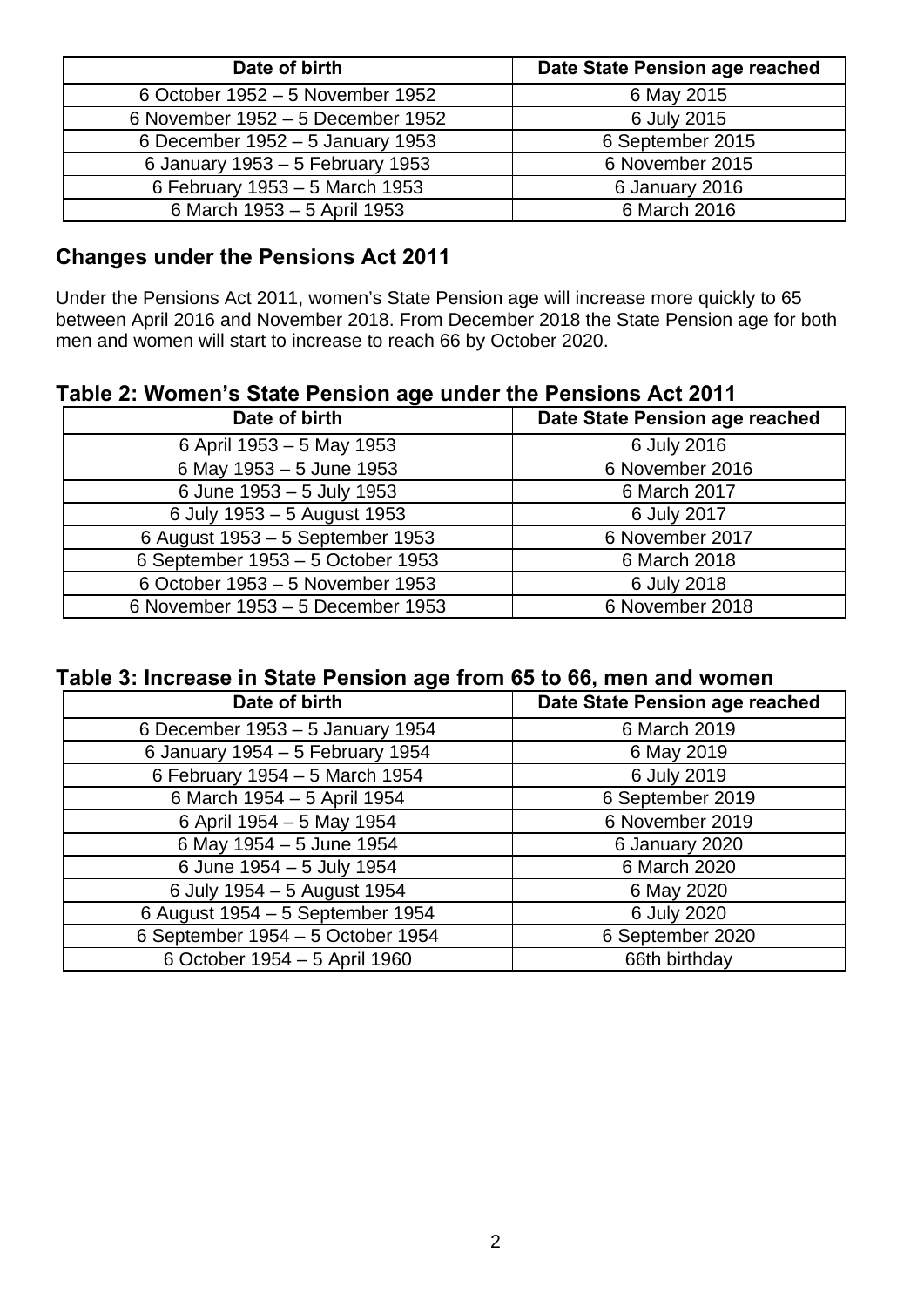| Date of birth                     | Date State Pension age reached |
|-----------------------------------|--------------------------------|
| 6 October 1952 – 5 November 1952  | 6 May 2015                     |
| 6 November 1952 - 5 December 1952 | 6 July 2015                    |
| 6 December 1952 – 5 January 1953  | 6 September 2015               |
| 6 January 1953 - 5 February 1953  | 6 November 2015                |
| 6 February 1953 - 5 March 1953    | 6 January 2016                 |
| 6 March 1953 - 5 April 1953       | 6 March 2016                   |

### **Changes under the Pensions Act 2011**

Under the Pensions Act 2011, women's State Pension age will increase more quickly to 65 between April 2016 and November 2018. From December 2018 the State Pension age for both men and women will start to increase to reach 66 by October 2020.

### **Table 2: Women's State Pension age under the Pensions Act 2011**

| Date of birth                     | Date State Pension age reached |
|-----------------------------------|--------------------------------|
| 6 April 1953 - 5 May 1953         | 6 July 2016                    |
| 6 May 1953 - 5 June 1953          | 6 November 2016                |
| 6 June 1953 - 5 July 1953         | 6 March 2017                   |
| 6 July 1953 - 5 August 1953       | 6 July 2017                    |
| 6 August 1953 - 5 September 1953  | 6 November 2017                |
| 6 September 1953 - 5 October 1953 | 6 March 2018                   |
| 6 October 1953 - 5 November 1953  | 6 July 2018                    |
| 6 November 1953 – 5 December 1953 | 6 November 2018                |

## **Table 3: Increase in State Pension age from 65 to 66, men and women**

| Date of birth                     | Date State Pension age reached |
|-----------------------------------|--------------------------------|
| 6 December 1953 - 5 January 1954  | 6 March 2019                   |
| 6 January 1954 - 5 February 1954  | 6 May 2019                     |
| 6 February 1954 - 5 March 1954    | 6 July 2019                    |
| 6 March 1954 - 5 April 1954       | 6 September 2019               |
| 6 April 1954 - 5 May 1954         | 6 November 2019                |
| 6 May 1954 - 5 June 1954          | 6 January 2020                 |
| 6 June 1954 - 5 July 1954         | 6 March 2020                   |
| 6 July 1954 - 5 August 1954       | 6 May 2020                     |
| 6 August 1954 - 5 September 1954  | 6 July 2020                    |
| 6 September 1954 - 5 October 1954 | 6 September 2020               |
| 6 October 1954 - 5 April 1960     | 66th birthday                  |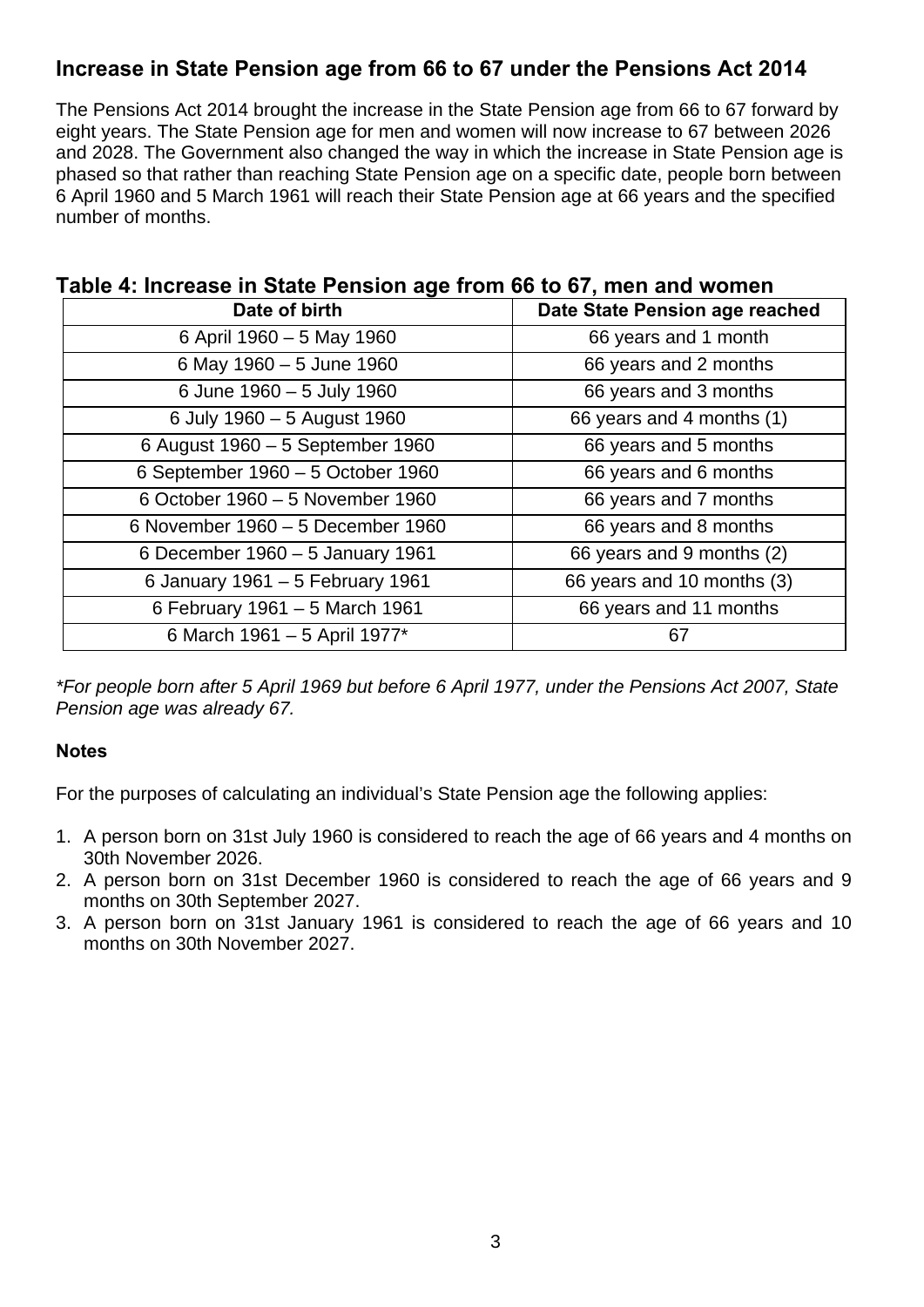### **Increase in State Pension age from 66 to 67 under the Pensions Act 2014**

The Pensions Act 2014 brought the increase in the State Pension age from 66 to 67 forward by eight years. The State Pension age for men and women will now increase to 67 between 2026 and 2028. The Government also changed the way in which the increase in State Pension age is phased so that rather than reaching State Pension age on a specific date, people born between 6 April 1960 and 5 March 1961 will reach their State Pension age at 66 years and the specified number of months.

| able 4. Increase in State Fension age from 60 to 07, men and women<br>Date of birth | Date State Pension age reached |
|-------------------------------------------------------------------------------------|--------------------------------|
| 6 April 1960 - 5 May 1960                                                           | 66 years and 1 month           |
| 6 May 1960 - 5 June 1960                                                            | 66 years and 2 months          |
| 6 June 1960 - 5 July 1960                                                           | 66 years and 3 months          |
| 6 July 1960 - 5 August 1960                                                         | 66 years and 4 months (1)      |
| 6 August 1960 - 5 September 1960                                                    | 66 years and 5 months          |
| 6 September 1960 - 5 October 1960                                                   | 66 years and 6 months          |
| 6 October 1960 - 5 November 1960                                                    | 66 years and 7 months          |
| 6 November 1960 - 5 December 1960                                                   | 66 years and 8 months          |
| 6 December 1960 - 5 January 1961                                                    | 66 years and 9 months (2)      |
| 6 January 1961 - 5 February 1961                                                    | 66 years and 10 months (3)     |
| 6 February 1961 - 5 March 1961                                                      | 66 years and 11 months         |
| 6 March 1961 - 5 April 1977*                                                        | 67                             |

# **Table 4: Increase in State Pension age from 66 to 67, men and women**

*\*For people born after 5 April 1969 but before 6 April 1977, under the Pensions Act 2007, State Pension age was already 67.* 

#### **Notes**

For the purposes of calculating an individual's State Pension age the following applies:

- 1. A person born on 31st July 1960 is considered to reach the age of 66 years and 4 months on 30th November 2026.
- 2. A person born on 31st December 1960 is considered to reach the age of 66 years and 9 months on 30th September 2027.
- 3. A person born on 31st January 1961 is considered to reach the age of 66 years and 10 months on 30th November 2027.